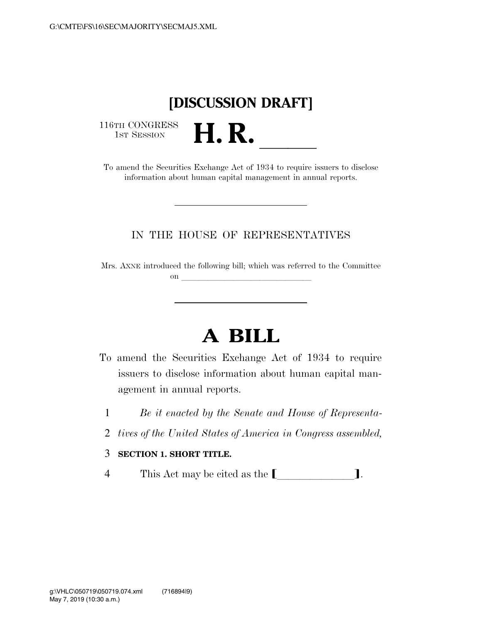## **[DISCUSSION DRAFT]**

116TH CONGRESS<br>1st Session

16TH CONGRESS<br>1st SESSION<br>To amend the Securities Exchange Act of 1934 to require issuers to disclose information about human capital management in annual reports.

## IN THE HOUSE OF REPRESENTATIVES

Mrs. AXNE introduced the following bill; which was referred to the Committee on and a series of the series of the series of the series of the series of the series of the series of the series of the series of the series of the series of the series of the series of the series of the series of the ser

## **A BILL**

- To amend the Securities Exchange Act of 1934 to require issuers to disclose information about human capital management in annual reports.
	- 1 *Be it enacted by the Senate and House of Representa-*
	- 2 *tives of the United States of America in Congress assembled,*
	- 3 **SECTION 1. SHORT TITLE.**
	- 4 This Act may be cited as the  $\Box$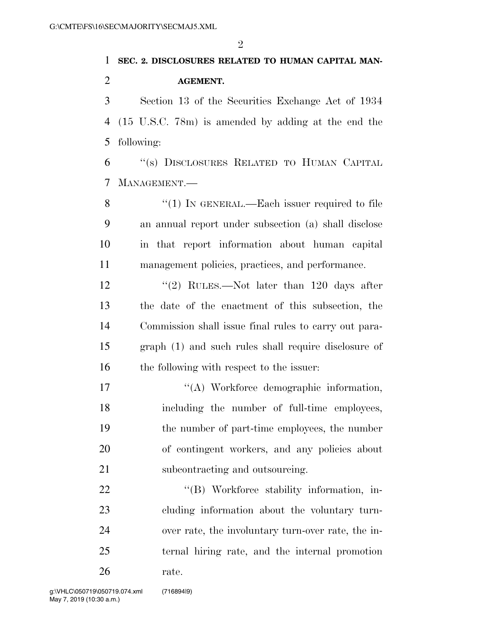## **SEC. 2. DISCLOSURES RELATED TO HUMAN CAPITAL MAN- AGEMENT.**  Section 13 of the Securities Exchange Act of 1934 (15 U.S.C. 78m) is amended by adding at the end the following: ''(s) DISCLOSURES RELATED TO HUMAN CAPITAL

MANAGEMENT.—

8 "(1) IN GENERAL.—Each issuer required to file an annual report under subsection (a) shall disclose in that report information about human capital management policies, practices, and performance.

12 ''(2) RULES.—Not later than 120 days after the date of the enactment of this subsection, the Commission shall issue final rules to carry out para- graph (1) and such rules shall require disclosure of 16 the following with respect to the issuer:

 $\langle (A)$  Workforce demographic information, including the number of full-time employees, the number of part-time employees, the number of contingent workers, and any policies about subcontracting and outsourcing.

 $\text{``(B)}$  Workforce stability information, in- cluding information about the voluntary turn- over rate, the involuntary turn-over rate, the in- ternal hiring rate, and the internal promotion rate.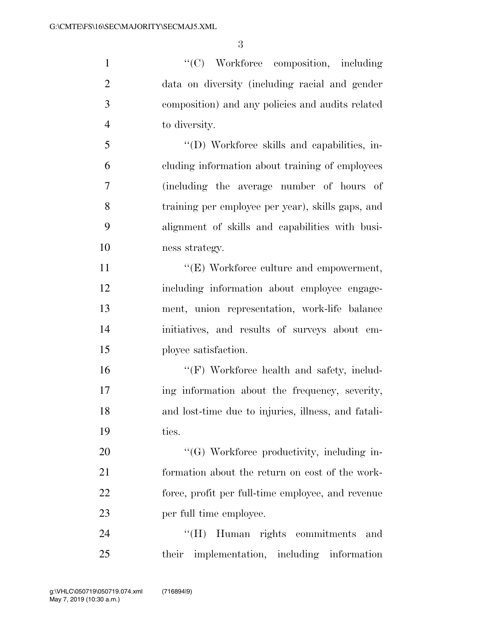$\cdot$  ''(C) Workforce composition, including data on diversity (including racial and gender composition) and any policies and audits related to diversity.

 ''(D) Workforce skills and capabilities, in- cluding information about training of employees (including the average number of hours of training per employee per year), skills gaps, and alignment of skills and capabilities with busi-ness strategy.

 $\langle (E) \text{ Workforce culture and empowerment},$  including information about employee engage- ment, union representation, work-life balance initiatives, and results of surveys about em-ployee satisfaction.

16 "'(F) Workforce health and safety, includ- ing information about the frequency, severity, and lost-time due to injuries, illness, and fatali-ties.

20 "'(G) Workforce productivity, including in- formation about the return on cost of the work- force, profit per full-time employee, and revenue per full time employee.

24 "'(H) Human rights commitments and their implementation, including information